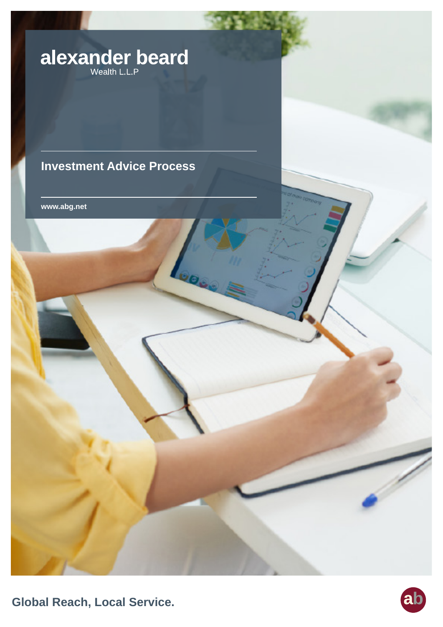# alexander beard

## **Investment Advice Process**

**www.abg.net**

**Global Reach, Local Service.**

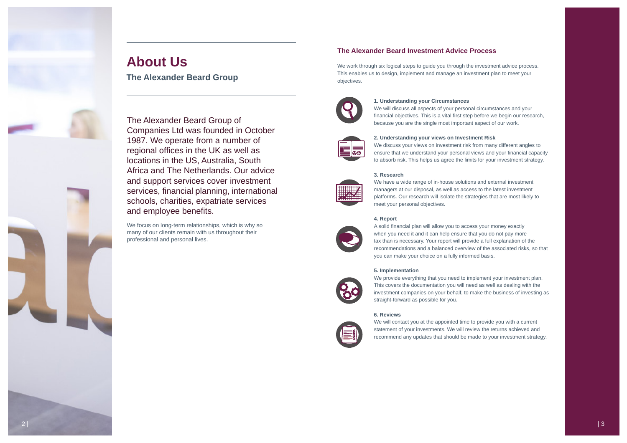

## **The Alexander Beard Investment Advice Process**

We work through six logical steps to guide you through the investment advice process. This enables us to design, implement and manage an investment plan to meet your objectives.



The Alexander Beard Group of Companies Ltd was founded in October 1987. We operate from a number of regional offices in the UK as well as locations in the US, Australia, South Africa and The Netherlands. Our advice and support services cover investment services, financial planning, international schools, charities, expatriate services and employee benefits.

We focus on long-term relationships, which is why so many of our clients remain with us throughout their professional and personal lives.

**1. Understanding your Circumstances** We will discuss all aspects of your personal circumstances and your



financial objectives. This is a vital first step before we begin our research, because you are the single most important aspect of our work.

We provide everything that you need to implement your investment plan. This covers the documentation you will need as well as dealing with the investment companies on your behalf, to make the business of investing as straight-forward as possible for you.

**2. Understanding your views on Investment Risk** We discuss your views on investment risk from many different angles to ensure that we understand your personal views and your financial capacity to absorb risk. This helps us agree the limits for your investment strategy.

#### **3. Research**



We have a wide range of in-house solutions and external investment managers at our disposal, as well as access to the latest investment platforms. Our research will isolate the strategies that are most likely to meet your personal objectives.

#### **4. Report**



A solid financial plan will allow you to access your money exactly when you need it and it can help ensure that you do not pay more tax than is necessary. Your report will provide a full explanation of the recommendations and a balanced overview of the associated risks, so that you can make your choice on a fully informed basis.

#### **5. Implementation**



#### **6. Reviews**



We will contact you at the appointed time to provide you with a current statement of your investments. We will review the returns achieved and recommend any updates that should be made to your investment strategy.

## **About Us**

**The Alexander Beard Group**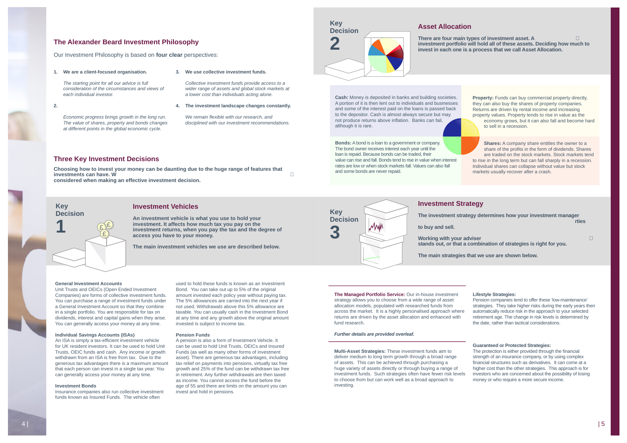#### **The Alexander Beard Investment Philosophy**

Our Investment Philosophy is based on **four clear** perspectives:

#### **1. We are a client-focused organisation.**

*The starting point for all our advice is full consideration of the circumstances and views of* 

*each individual investor.*

**2. ������������������������** 

*Economic progress brings growth in the long run. The value of shares, property and bonds changes at different points in the global economic cycle.*

#### **Three Key Investment Decisions**

**Choosing how to invest your money can be daunting due to the huge range of features that investments can have. W���������������������������������� considered when making an effective investment decision.**

#### There are four main types of investment asset. A **investment portfolio will hold all of these assets. Deciding how much to invest in each one is a process that we call Asset Allocation.**

#### **Investment Vehicles**

**Working with your adviser stands out, or that a combination of strategies is right for you.**

**An investment vehicle is what you use to hold your investment. It affects how much tax you pay on the investment returns, when you pay the tax and the degree of access you have to your money.** 

**The main investment vehicles we use are described below.**

## **Investment Strategy**

**The investment strategy determines how your investment manager ��������������������������������rties** 

**to buy and sell.** 

**The main strategies that we use are shown below.**

#### **3. We use collective investment funds.**

*Collective investment funds provide access to a wider range of assets and global stock markets at a lower cost than individuals acting alone.*

#### **4. The investment landscape changes constantly.**

*We remain flexible with our research, and disciplined with our investment recommendations.*

#### **General Investment Accounts**

Unit Trusts and OEICs (Open Ended Investment Companies) are forms of collective investment funds. You can purchase a range of investment funds under a General Investment Account so that they combine in a single portfolio. You are responsible for tax on dividends, interest and capital gains when they arise. You can generally access your money at any time.

#### **Individual Savings Accounts (ISAs)**

An ISA is simply a tax-efficient investment vehicle for UK resident investors. It can be used to hold Unit Trusts, OEIC funds and cash. Any income or growth withdrawn from an ISA is free from tax. Due to the generous tax advantages there is a maximum amount that each person can invest in a single tax year. You can generally access your money at any time.

**Property:** Funds can buy commercial property directly, they can also buy the shares of property companies. Returns are driven by rental income and increasing property values. Property tends to rise in value as the

#### **Investment Bonds**

Insurance companies also run collective investment funds known as Insured Funds. The vehicle often

**Cash:** Money is deposited in banks and building societies. A portion of it is then lent out to individuals and businesses and some of the interest paid on the loans is passed back to the depositor. Cash is almost always secure but may not produce returns above inflation. Banks can fail, although it is rare.

**Bonds:** A bond is a loan to a government or company. The bond owner receives interest each year until the loan is repaid. Because bonds can be traded, their value can rise and fall. Bonds tend to rise in value when interest rates are low or when stock markets fall. Values can also fall and some bonds are never repaid.

**The Managed Portfolio Service:** Our in-house investment strategy allows you to choose from a wide range of asset allocation models, populated with researched funds from across the market. It is a highly personalised approach where returns are driven by the asset allocation and enhanced with fund research.



#### *Further details are provided overleaf.*

**Multi-Asset Strategies:** These investment funds aim to deliver medium to long term growth through a broad range of assets. This can be achieved through purchasing a huge variety of assets directly or through buying a range of investment funds. Such strategies often have fewer risk levels to choose from but can work well as a broad approach to investing.

used to hold these funds is known as an Investment Bond. You can take out up to 5% of the original amount invested each policy year without paying tax. The 5% allowances are carried into the next year if not used. Withdrawals above this 5% allowance are taxable. You can usually cash in the Investment Bond at any time and any growth above the original amount invested is subject to income tax.

#### **Pension Funds**

A pension is also a form of Investment Vehicle. It can be used to hold Unit Trusts, OEICs and Insured Funds (as well as many other forms of investment asset). There are generous tax advantages, including tax relief on payments into pensions, virtually tax free growth and 25% of the fund can be withdrawn tax free in retirement. Any further withdrawals are then taxed as income. You cannot access the fund before the age of 55 and there are limits on the amount you can invest and hold in pensions.

economy grows, but it can also fall and become hard to sell in a recession.

**Shares:** A company share entitles the owner to a share of the profits in the form of dividends. Shares are traded on the stock markets. Stock markets tend to rise in the long term but can fall sharply in a recession. Individual shares can collapse without value but stock markets usually recover after a crash.

#### **Lifestyle Strategies:**

Pension companies tend to offer these 'low-maintenance' strategies. They take higher risks during the early years then automatically reduce risk in the approach to your selected retirement age. The change in risk levels is determined by the date, rather than tactical considerations.

#### **Guaranteed or Protected Strategies:**

The protection is either provided through the financial strength of an insurance company, or by using complex financial structures such as derivatives. It can come at a higher cost than the other strategies. This approach is for investors who are concerned about the possibility of losing money or who require a more secure income.

#### **Key Decision**



**Key** 

**Decision** 

**3**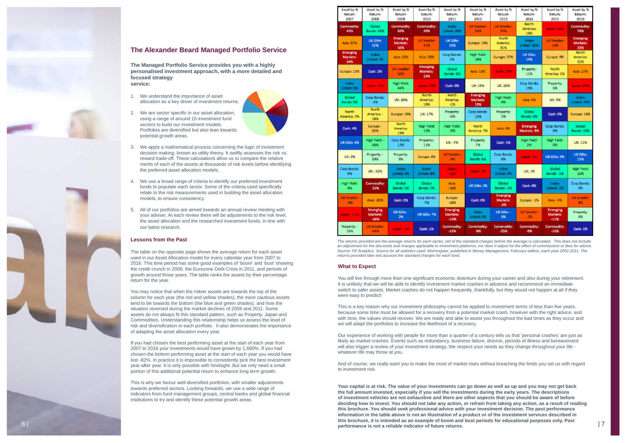#### **What to Expect**

You will live through more than one significant economic downturn during your career and also during your retirement. It is unlikely that we will be able to identify investment market crashes in advance and recommend an immediate switch to safer assets. Market crashes do not happen frequently, thankfully, but they would not happen at all if they were easy to predict!

This is a key reason why our investment philosophy cannot be applied to investment terms of less than five years, because some time must be allowed for a recovery from a potential market crash, however with the right advice, and with time, the values should recover. We are ready and able to assist you throughout the bad times as they occur and we will adapt the portfolios to increase the likelihood of a recovery.

Our experience of working with people for more than a quarter of a century tells us that 'personal crashes' are just as likely as market crashes. Events such as redundancy, business failure, divorce, periods of illness and bereavement will also trigger a review of your investment strategy. We respect your needs as they change throughout your life whatever life may throw at you.

this brochure, it is intended as an example of boom and bust periods for educational purposes only. Past **the sta**<br>performance is not a reliable indicator of future returns. **Your capital is at risk. The value of your investments can go down as well as up and you may not get back the full amount invested, especially if you sell the investments during the early years. The descriptions of investment vehicles are not exhaustive and there are other aspects that you should be aware of before deciding how to invest. You should not take any action, or refrain from taking any action, as a result of reading this brochure. You should seek professional advice with your investment decision. The past performance information in the table above is not an illustration of a product or of the investment services described in performance is not a reliable indicator of future returns.**

And of course, we really want you to make the most of market rises without breaching the limits you set us with regard to investment risk.

- We apply a mathematical process concerning the logic of investment decision making, known as utility theory. It swiftly assesses the risk vs. reward trade-off. These calculations allow us to compare the relative merits of each of the assets at thousands of risk levels before identifying the preferred asset allocation models.
- 4. We use a broad range of criteria to identify our preferred investment funds to populate each sector. Some of the criteria used specifically relate to the risk measurements used in building the asset allocation models, to ensure consistency.
- 5. All of our portfolios are aimed towards an annual review meeting with your adviser. At each review there will be adjustments to the risk level, the asset allocation and the researched investment funds, in-line with our latest research.

#### **The Alexander Beard Managed Portfolio Service**

**The Managed Portfolio Service provides you with a highly personalised investment approach, with a more detailed and**  focused strategy **service:**

- 1. We understand the importance of asset allocation as a key driver of investment returns.
- 2. We are sector specific in our asset allocation, using a range of around 15 investment fund sectors to build our investment models. Portfolios are diversified but also lean towards potential growth areas.



#### **Lessons from the Past**

The table on the opposite page shows the average return for each asset used in our Asset Allocation model for every calendar year from 2007 to 2016. This time period has some good examples of 'boom' and 'bust' showing the credit crunch in 2008, the Eurozone Debt Crisis in 2011, and periods of growth around those years. The table ranks the assets by their percentage return for the year.

You may notice that when the riskier assets are towards the top of the column for each year (the red and yellow shades), the more cautious assets tend to be towards the bottom (the blue and green shades), and how the situation reversed during the market declines of 2008 and 2011. Some assets do not always fit this standard pattern, such as Property, Japan and Commodities. Understanding this relationship helps us assess the level of risk and diversification in each portfolio. It also demonstrates the importance of adapting the asset allocation every year.

If you had chosen the best performing asset at the start of each year from 2007 to 2016 your investments would have grown by 1,680%. If you had chosen the bottom performing asset at the start of each year you would have lost -82%. In practice it is impossible to consistently pick the best investment year after year. It is only possible with hindsight. But we only need a small portion of this additional potential return to enhance long term growth.

This is why we favour well-diversified portfolios, with smaller adjustments towards preferred sectors. Looking forwards, we use a wide range of indicators from fund management groups, central banks and global financial institutions to try and identify these potential growth areas.

| Asset by %<br><b>Return:</b><br>2007 | Asset by %<br>Returns<br>2008     | Asset by %<br>Returns<br>2009   | Asset by %<br>Return:<br>2010      | Asset by %<br>Recurrit<br>2011        | Asset by %<br>Recurring<br>2012    | Asset by %<br>Return:<br>2013      | Asset by %<br>Return:<br>2014   | Asset by %<br>Return:<br>2015  | Asset by %<br>Return:<br>2016             |
|--------------------------------------|-----------------------------------|---------------------------------|------------------------------------|---------------------------------------|------------------------------------|------------------------------------|---------------------------------|--------------------------------|-------------------------------------------|
| <b>Commodity:</b><br>42%             | Global<br>Bonds: 16%              | Commedity:<br>63%               | <b>Commodity:</b><br>35%           | Index<br>Linked: 20%                  | <b>UK Smaller:</b><br>22%          | <b>UK Smaller:</b><br>37%          | <b>Narth</b><br>America:<br>18% | Japan: 16%                     | <b>Commodity:</b><br>74%                  |
| Asia: 37%                            | <b>UK Gits:</b><br>12%            | Emerging<br>Markets:<br>56%     | <b>UK Smaller:</b><br>31%          | <b>UK Gits:</b><br>16%                | <b>Europe: 19%</b>                 | North<br>America:<br>31%           | Index<br>Linked: 18%            | UK Smaller:<br>14%             | <b>Emerging</b><br><b>Markets:</b><br>33% |
| Emerging<br><b>Markets:</b><br>34%   | Index<br>Linked: 3%               | <b>Asia: 52%</b>                | Asia: 23%                          | Corp Bonds:<br>5%.                    | High Yield:<br>1894                | Europe: 27%                        | UK Gilbar<br>14%                | Europe: 9%                     | North<br>America:<br>31%                  |
| Europe: 13%                          | Cash: 2%                          | <b>UK Smaller:</b><br>50%       | Emerging<br><b>Markets:</b><br>23% | Global<br>Bonds: 3%                   | Asia: 16%                          | Japan: 26%                         | Property:<br>11%                | North<br>America: 5%           | Asia: 27%                                 |
| Index<br>Linked: 8%                  | Jepan: 3%                         | High Weld:<br>44%               | <b>Jesse: 19%</b>                  | Cash: 0%                              | <b>UK: 15%</b>                     | UK: 26%                            | Corp Bonds:<br>10%              | Property:<br>5%.               | Japan: 24%                                |
| Global<br>Bonds: 5%                  | Corp Bonds:<br>$-0.96$            | UK: 30%                         | North<br>America:<br>1.8%          | North<br>America:<br>$-1.96$          | <b>Emerging</b><br>Markets:<br>13% | <b>High Yield:</b><br>686          | Asia: 9%                        | UK: 4%                         | Index<br><b>Linked: 24%</b>               |
| North<br>America: 5%                 | <b>North</b><br>America: -<br>18% | Europe: 19%                     | <b>UK: 17%</b>                     | Property:<br>$-256$                   | Corp Bonds:<br>12%                 | Property:<br>5%                    | Global<br>Bonds: 4%             | Cash: 0%                       | Europe: 16%                               |
| Cash: 4%                             | Europe: -<br>25%                  | <b>North</b><br>America:<br>19% | High Yield:<br>12%                 | High Yield:<br>-2%                    | <b>North</b><br>America: 7%        | Asia: 3%                           | <b>Emerging</b><br>Markets: 3%  | Corp Bonds:<br>0%              | Global<br>Bonds: 13%                      |
| UK Gilts: 4%                         | High Yield: -<br>26%              | Corp Bonds:<br>13%              | Property:<br>11%                   | <b>UK: 7%</b>                         | Property:<br>7%                    | Cash: 1%                           | High Yield:<br>2%               | High Yield:<br>0%              | <b>UK: 11%</b>                            |
| UK: 2%                               | Property:-<br>30%                 | Property:<br>9%                 | Europe: 8%                         | <b>UK Smaller:</b><br>-9%             | Global<br>Bonds 6%                 | Corp Bonds:<br>os.                 | Japan: 1%                       | <b>UK Gilts: 0%</b>            | UK Gilts:<br>11%                          |
| Corp Bonds:<br>O%                    | UK: -32%                          | Index<br>Linked: 6%             | Index<br>Linked: 8%                | Japan:<br>$-1296$                     | Jepan: 3%                          | Index<br>Linked: 0%                | UK: 1%                          | Global<br>Bonds: -1%           | High Yield:<br>10%                        |
| High Weld:<br>O%                     | Commodity:<br>$-32%$              | Global<br>Bonds: 5%             | Global<br>Bonds: 7%                | Asia:<br>$-16%$                       | <b>LIK Gilts: 2%</b>               | Global<br>Bonds: -2%               | Cash: OK                        | Index<br>Linked: - 1%          | Corp Bonds:<br>9%                         |
| <b>UK Smaller:</b><br>-6%            | Asia: -33%                        | Cash: 1%                        | Corp Bonds:<br>7%                  | Europe:<br>$-16%$                     | Cash: 0%                           | Emerging<br><b>Markets:</b><br>-3% | Europe: -1%                     | Asia: -4%                      | <b>UK Smaller:</b><br>8%                  |
| Japan: - 11%                         | Emerging<br>Markets:<br>$-36%$    | UK Gilts: -<br>2%               | UK Gilts: 7%                       | <b>Emerging</b><br>Markets:<br>$-19%$ | Index<br>Linked: 0%                | <b>UK Gilass</b><br>5%             | <b>UK Smaller:</b><br>$-256$    | Emerging<br>Markets:<br>$-11%$ | Property:<br>5%                           |
| Property: -<br>15%                   | UK Smaller:<br>$-41%$             | Japan: -4%                      | Cash: 1%                           | Commodity:<br>$-2294$                 | Commodity:<br>-9%                  | Commodity:<br>-25%                 | Commodity:<br>-9%               | Commodity:<br>$-2.694$         | Cash: 1%                                  |



*an adjustment for the discounts and charges applicable to investment platforms, nor does it adjust for the effect of commissions or fees for advice. Source: FE Analytics. Source for all statistics used: Morningstar, published in Money Management, February edition, each year 2002-2011. The returns provided take into account the standard charges for each fund.*